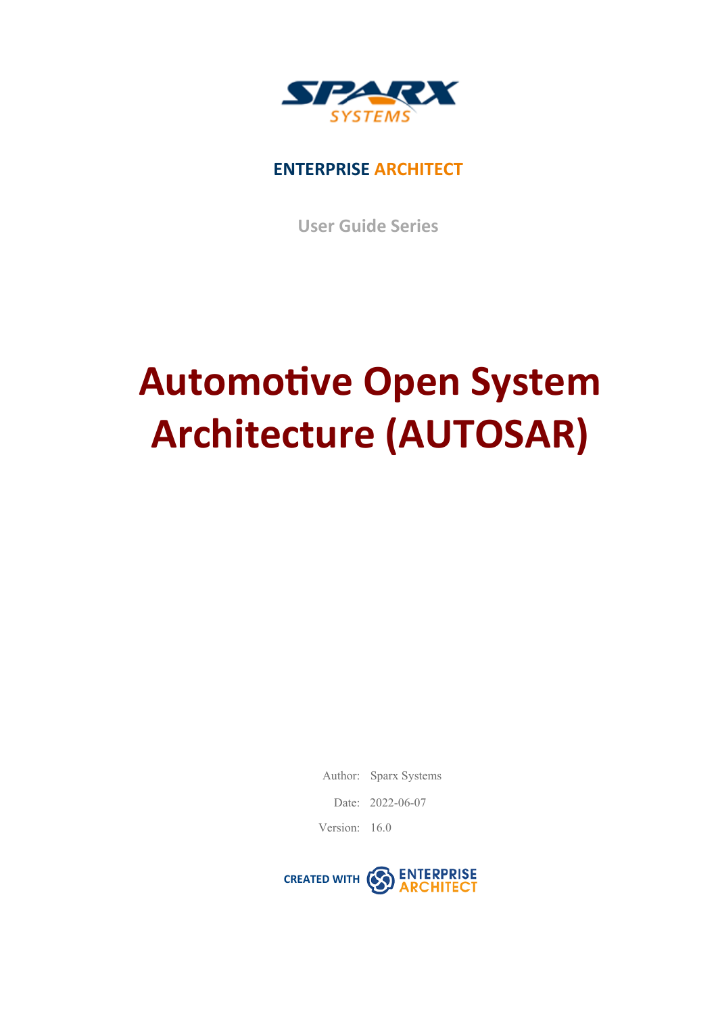

### **ENTERPRISE ARCHITECT**

**User Guide Series**

# **Automotive Open System Architecture (AUTOSAR)**

Author: Sparx Systems

Date: 2022-06-07

Version: 16.0

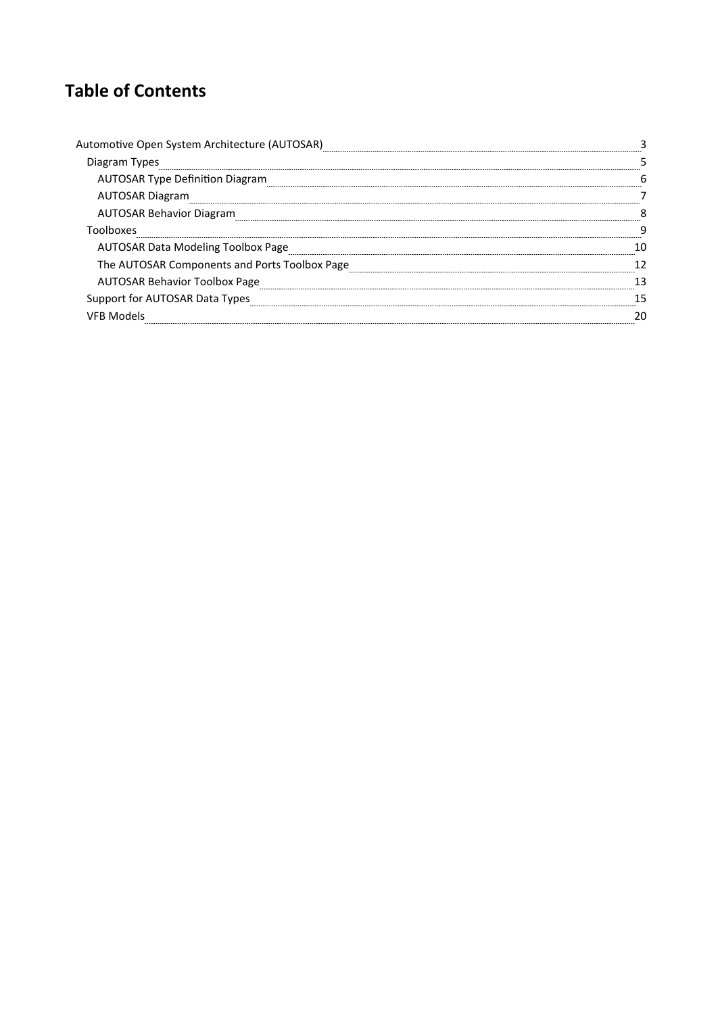### **Table of Contents**

| Automotive Open System Architecture (AUTOSAR) |  |
|-----------------------------------------------|--|
| Diagram Types                                 |  |
| <b>AUTOSAR Type Definition Diagram</b>        |  |
| <b>AUTOSAR Diagram</b>                        |  |
| <b>AUTOSAR Behavior Diagram</b>               |  |
| Toolboxes                                     |  |
| AUTOSAR Data Modeling Toolbox Page            |  |
| The AUTOSAR Components and Ports Toolbox Page |  |
| <b>AUTOSAR Behavior Toolbox Page</b>          |  |
| Support for AUTOSAR Data Types                |  |
|                                               |  |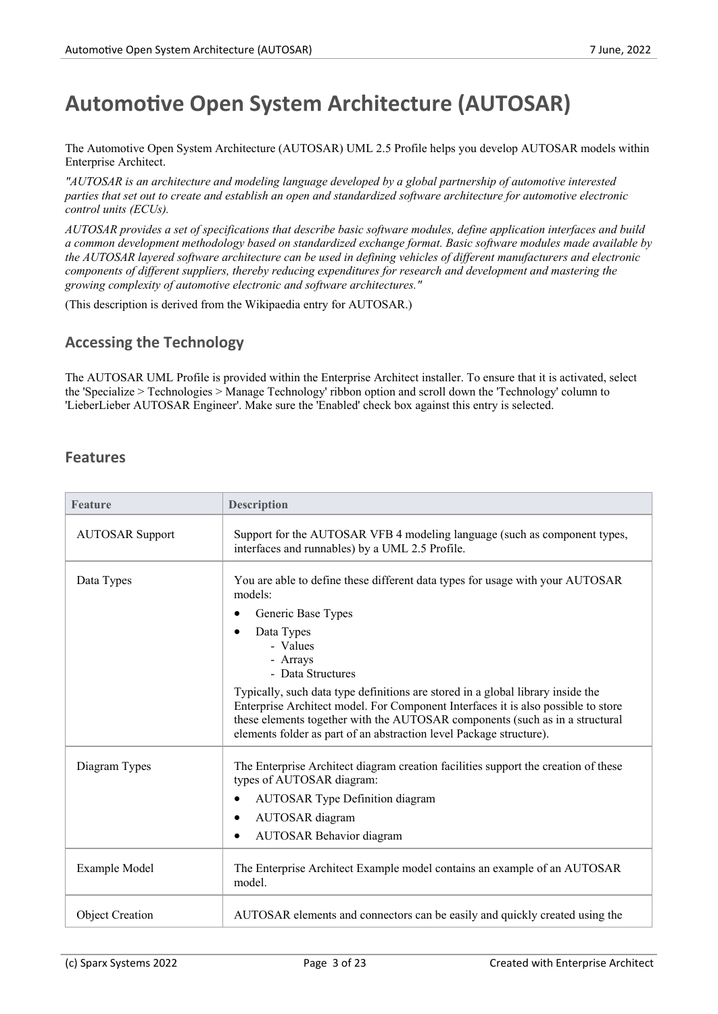### **Automotive Open System Architecture (AUTOSAR)**

The Automotive Open System Architecture (AUTOSAR) UML 2.5 Profile helps you develop AUTOSAR models within Enterprise Architect.

*"AUTOSAR is anarchitecture and modeling language developed by a global partnership of automotive interested* parties that set out to create and establish an open and standardized software architecture for automotive electronic *control units (ECUs).*

*AUTOSAR provides a setof specifications that describe basic software modules, define application interfaces and build a common development methodology based on standardized exchange format. Basic software modules made available by* the AUTOSAR layered software architecture can be used in defining vehicles of different manufacturers and electronic *components of dif erent suppliers, thereby reducing expenditures for research and development and mastering the growing complexity of automotive electronic and software architectures."*

(This description is derived from the Wikipaedia entry for AUTOSAR.)

#### **Accessing the Technology**

The AUTOSAR UML Profile is provided within the Enterprise Architect installer. To ensure that it is activated, select the 'Specialize > Technologies > Manage Technology' ribbon option and scrolldown the 'Technology' column to 'LieberLieber AUTOSAR Engineer'. Make sure the 'Enabled' check box against this entry is selected.

#### **Features**

| <b>Feature</b>         | <b>Description</b>                                                                                                                                                                                                                                                                                                          |
|------------------------|-----------------------------------------------------------------------------------------------------------------------------------------------------------------------------------------------------------------------------------------------------------------------------------------------------------------------------|
| <b>AUTOSAR Support</b> | Support for the AUTOSAR VFB 4 modeling language (such as component types,<br>interfaces and runnables) by a UML 2.5 Profile.                                                                                                                                                                                                |
| Data Types             | You are able to define these different data types for usage with your AUTOSAR<br>models:                                                                                                                                                                                                                                    |
|                        | Generic Base Types<br>٠                                                                                                                                                                                                                                                                                                     |
|                        | Data Types<br>- Values<br>- Arrays<br>- Data Structures                                                                                                                                                                                                                                                                     |
|                        | Typically, such data type definitions are stored in a global library inside the<br>Enterprise Architect model. For Component Interfaces it is also possible to store<br>these elements together with the AUTOSAR components (such as in a structural<br>elements folder as part of an abstraction level Package structure). |
| Diagram Types          | The Enterprise Architect diagram creation facilities support the creation of these<br>types of AUTOSAR diagram:                                                                                                                                                                                                             |
|                        | <b>AUTOSAR Type Definition diagram</b><br>٠                                                                                                                                                                                                                                                                                 |
|                        | AUTOSAR diagram<br>٠                                                                                                                                                                                                                                                                                                        |
|                        | <b>AUTOSAR Behavior diagram</b>                                                                                                                                                                                                                                                                                             |
| Example Model          | The Enterprise Architect Example model contains an example of an AUTOSAR<br>model.                                                                                                                                                                                                                                          |
| <b>Object Creation</b> | AUTOSAR elements and connectors can be easily and quickly created using the                                                                                                                                                                                                                                                 |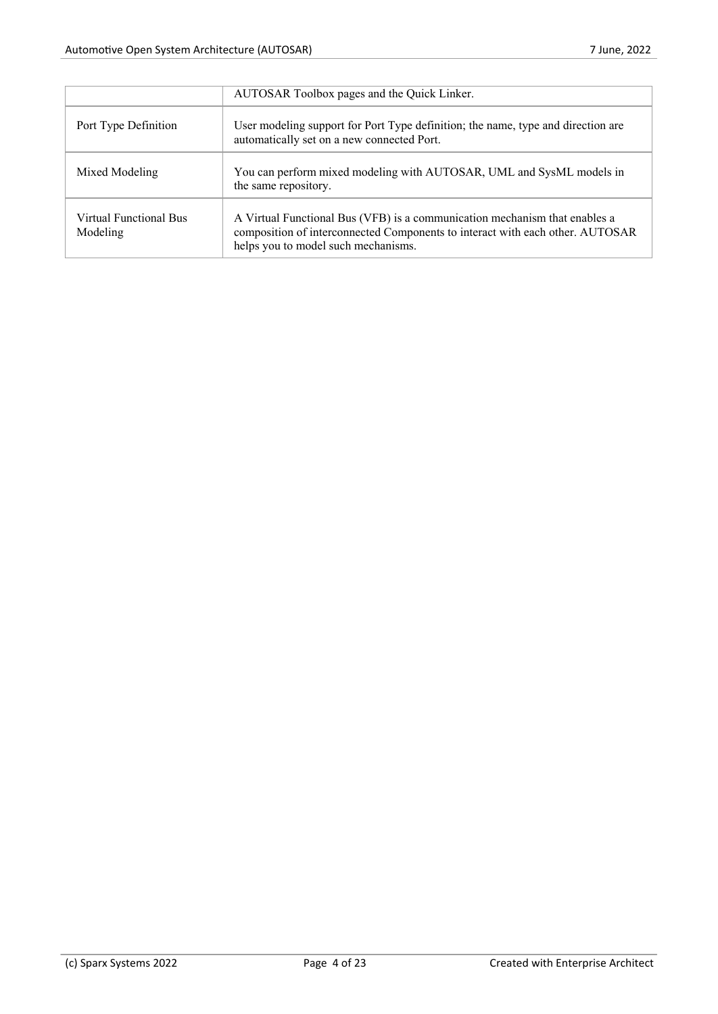|                                    | AUTOSAR Toolbox pages and the Quick Linker.                                                                                                                                                        |
|------------------------------------|----------------------------------------------------------------------------------------------------------------------------------------------------------------------------------------------------|
| Port Type Definition               | User modeling support for Port Type definition; the name, type and direction are<br>automatically set on a new connected Port.                                                                     |
| Mixed Modeling                     | You can perform mixed modeling with AUTOSAR, UML and SysML models in<br>the same repository.                                                                                                       |
| Virtual Functional Bus<br>Modeling | A Virtual Functional Bus (VFB) is a communication mechanism that enables a<br>composition of interconnected Components to interact with each other. AUTOSAR<br>helps you to model such mechanisms. |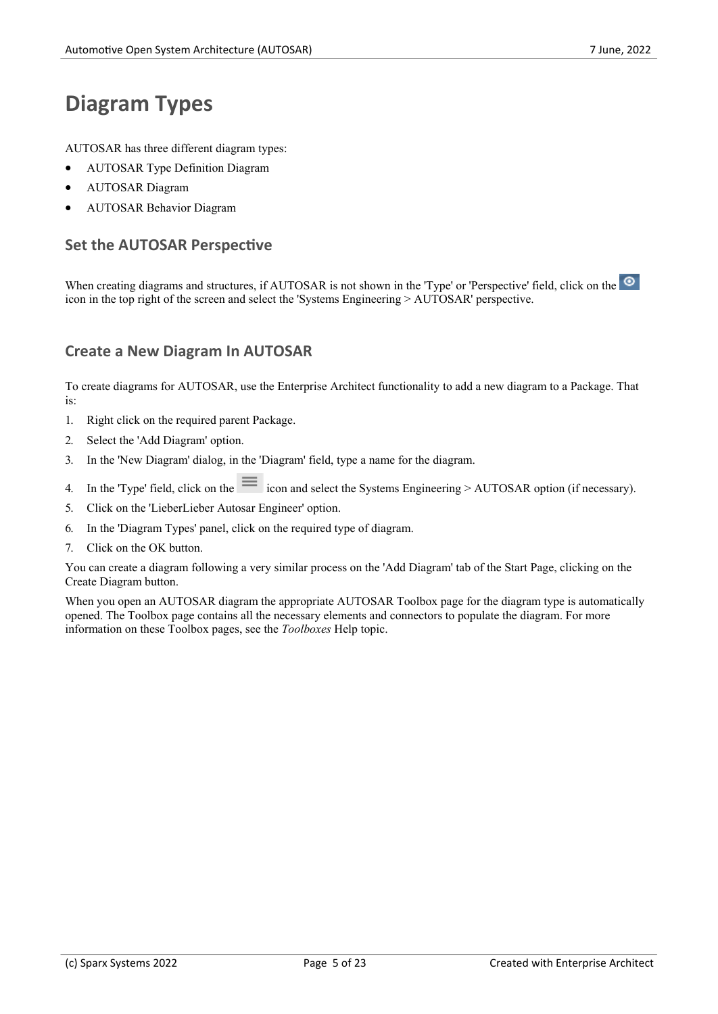### **Diagram Types**

AUTOSAR has three different diagram types:

- · AUTOSAR Type Definition Diagram
- · AUTOSAR Diagram
- · AUTOSAR Behavior Diagram

#### **Set the AUTOSAR Perspective**

When creating diagrams and structures, if AUTOSAR is not shown in the 'Type' or 'Perspective' field, click on the  $\circ$ icon in the top right of the screen and select the 'Systems Engineering > AUTOSAR' perspective.

#### **Create a New Diagram In AUTOSAR**

To create diagrams for AUTOSAR, use the Enterprise Architect functionality to add a new diagram to aPackage. That is:

- 1. Right click on the required parent Package.
- 2. Select the 'Add Diagram' option.
- 3. In the 'New Diagram' dialog, in the 'Diagram' field, type a name for the diagram.
- 4. In the 'Type' field, click on the  $\equiv$  icon and select the Systems Engineering > AUTOSAR option (if necessary).
- 5. Click on the 'LieberLieber Autosar Engineer' option.
- 6. In the 'Diagram Types' panel, click on the required type of diagram.
- 7. Click on the OK button.

You can create a diagram following a very similar process on the 'Add Diagram' tab of the Start Page, clicking on the Create Diagram button.

When you open an AUTOSAR diagram the appropriate AUTOSAR Toolbox page for the diagram type is automatically opened. The Toolbox page contains all the necessary elements and connectors to populate the diagram. For more information on these Toolbox pages, see the *Toolboxes* Help topic.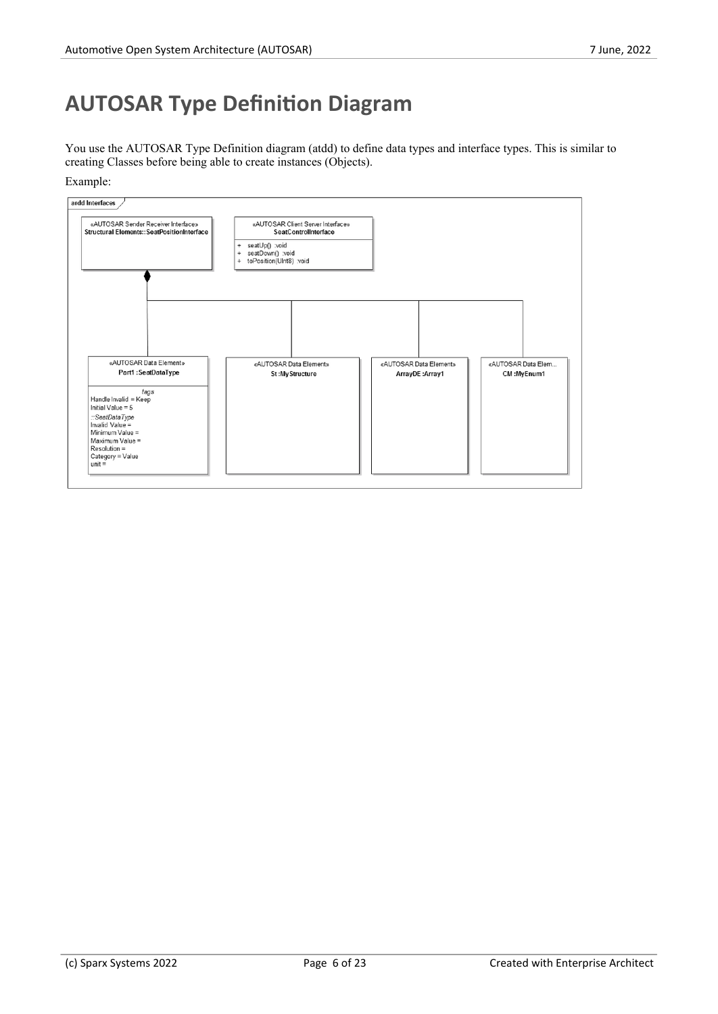## **AUTOSAR Type Definition Diagram**

You use the AUTOSAR Type Definition diagram (atdd) to define data types and interface types. This is similar to creating Classes before being able to create instances (Objects).

Example:

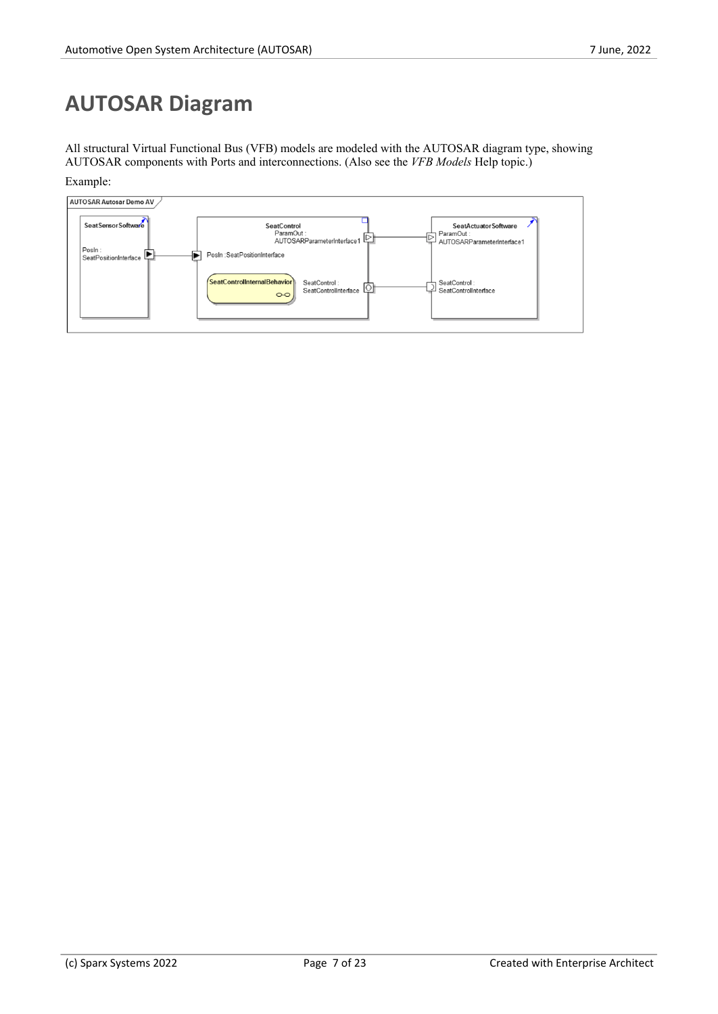## **AUTOSAR Diagram**

All structural Virtual Functional Bus (VFB) models are modeled with the AUTOSAR diagram type, showing AUTOSAR components with Ports and interconnections. (Also see the *VFB Models* Help topic.)

Example:

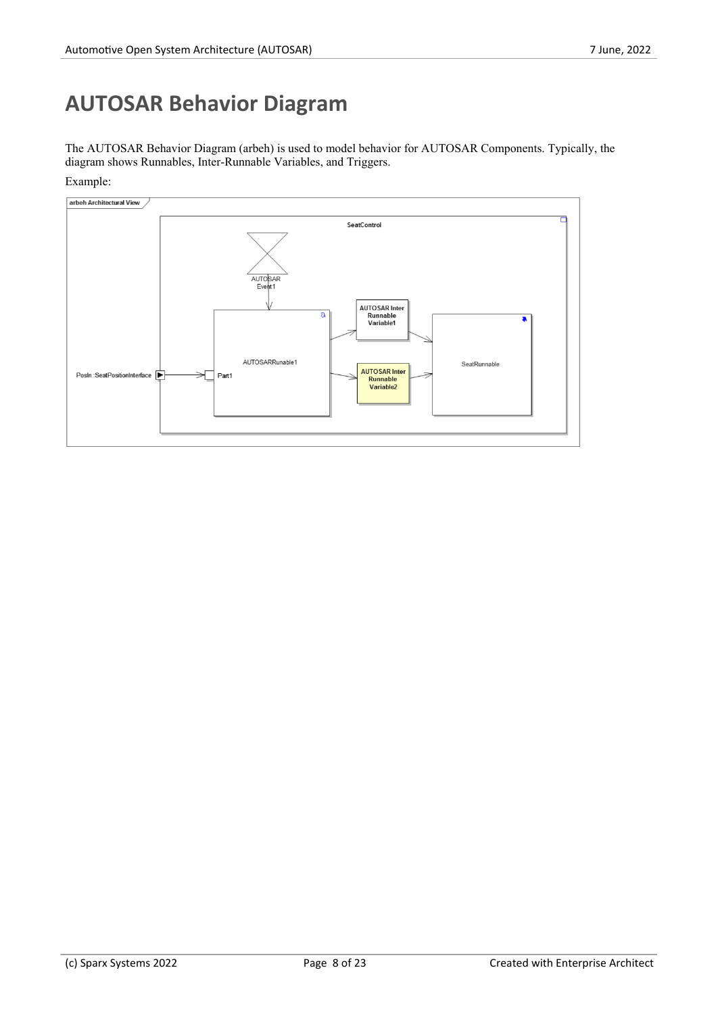## **AUTOSAR Behavior Diagram**

The AUTOSAR Behavior Diagram (arbeh) is used to model behavior for AUTOSAR Components. Typically, the diagram shows Runnables, Inter-Runnable Variables, and Triggers.



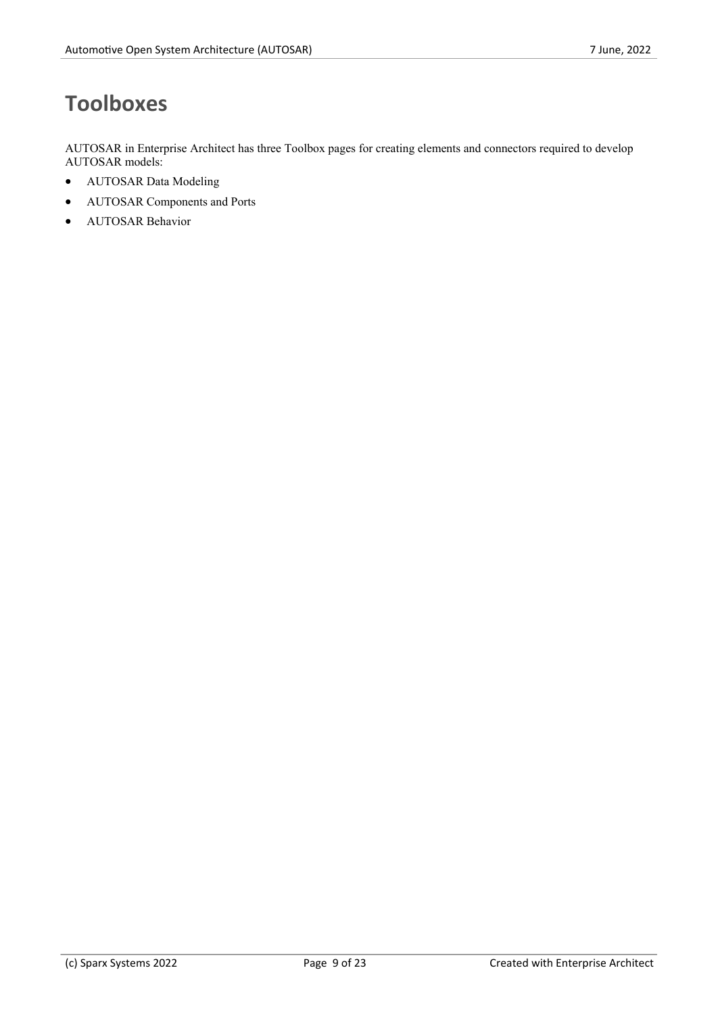# **Toolboxes**

AUTOSAR in Enterprise Architect has three Toolbox pages for creating elements and connectors required to develop AUTOSAR models:

- · AUTOSAR Data Modeling
- · AUTOSAR Componentsand Ports
- · AUTOSAR Behavior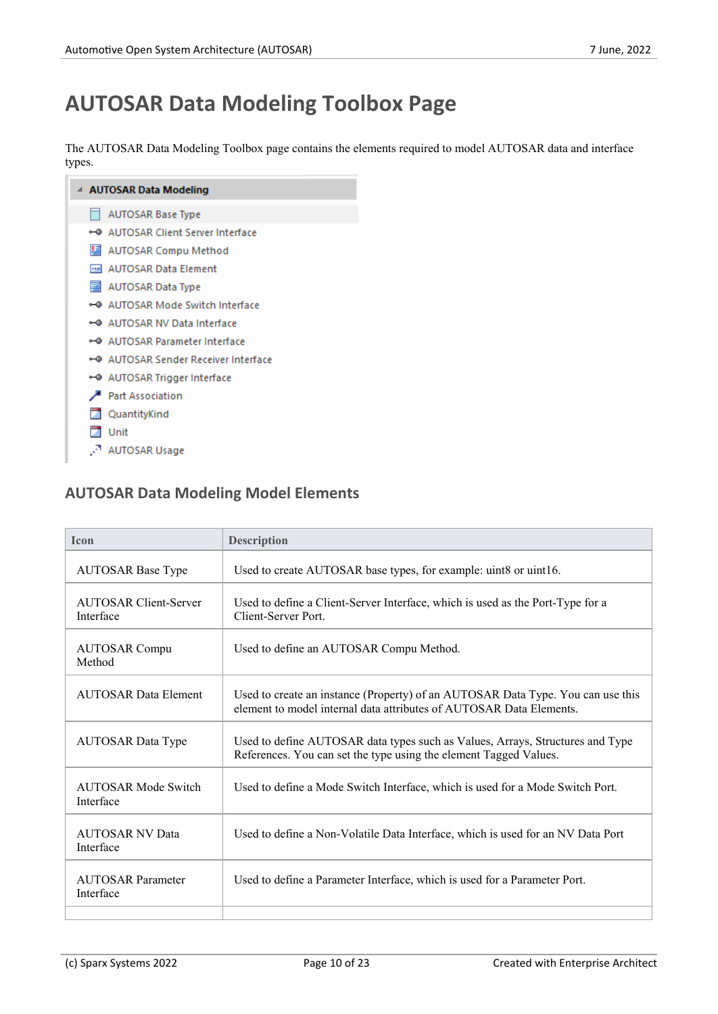## **AUTOSAR Data Modeling Toolbox Page**

The AUTOSAR Data Modeling Toolbox page contains the elements required to model AUTOSAR data and interface types.



### **AUTOSAR Data Modeling Model Elements**

| <b>Icon</b>                               | <b>Description</b>                                                                                                                                     |
|-------------------------------------------|--------------------------------------------------------------------------------------------------------------------------------------------------------|
| <b>AUTOSAR Base Type</b>                  | Used to create AUTOSAR base types, for example: uint8 or uint16.                                                                                       |
| <b>AUTOSAR Client-Server</b><br>Interface | Used to define a Client-Server Interface, which is used as the Port-Type for a<br>Client-Server Port                                                   |
| <b>AUTOSAR Compu</b><br>Method            | Used to define an AUTOSAR Compu Method.                                                                                                                |
| <b>AUTOSAR Data Element</b>               | Used to create an instance (Property) of an AUTOSAR Data Type. You can use this<br>element to model internal data attributes of AUTOSAR Data Elements. |
| <b>AUTOSAR Data Type</b>                  | Used to define AUTOSAR data types such as Values, Arrays, Structures and Type<br>References. You can set the type using the element Tagged Values.     |
| <b>AUTOSAR Mode Switch</b><br>Interface   | Used to define a Mode Switch Interface, which is used for a Mode Switch Port.                                                                          |
| <b>AUTOSAR NV Data</b><br>Interface       | Used to define a Non-Volatile Data Interface, which is used for an NV Data Port                                                                        |
| <b>AUTOSAR Parameter</b><br>Interface     | Used to define a Parameter Interface, which is used for a Parameter Port.                                                                              |
|                                           |                                                                                                                                                        |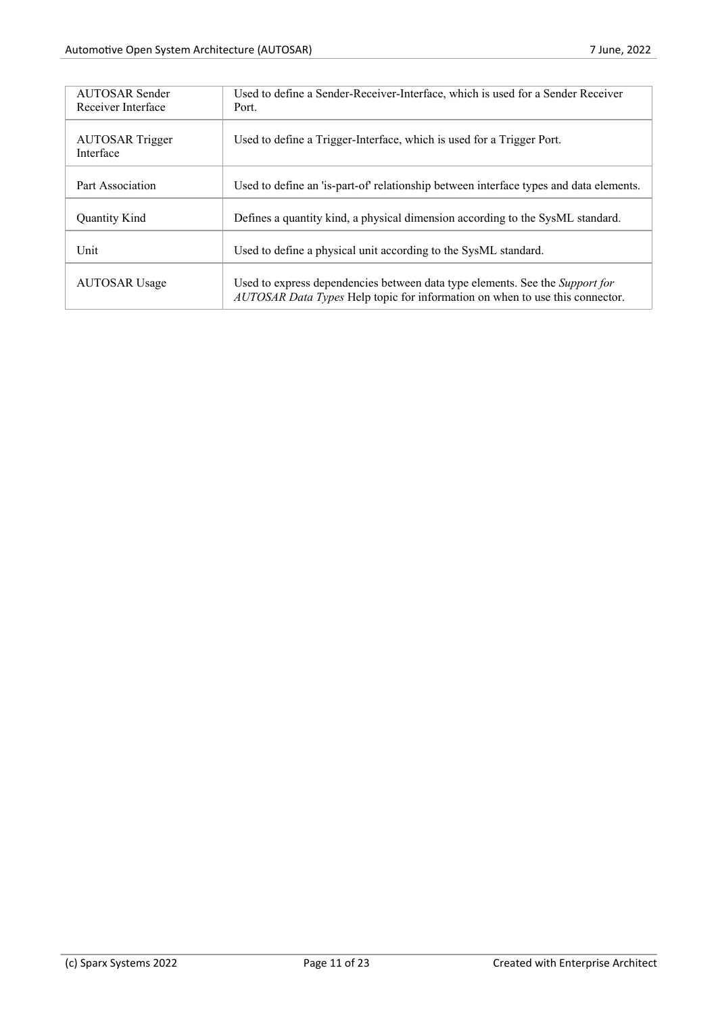| <b>AUTOSAR Sender</b><br>Receiver Interface | Used to define a Sender-Receiver-Interface, which is used for a Sender Receiver<br>Port.                                                                     |
|---------------------------------------------|--------------------------------------------------------------------------------------------------------------------------------------------------------------|
| <b>AUTOSAR</b> Trigger<br>Interface         | Used to define a Trigger-Interface, which is used for a Trigger Port.                                                                                        |
| Part Association                            | Used to define an 'is-part-of' relationship between interface types and data elements.                                                                       |
| <b>Ouantity Kind</b>                        | Defines a quantity kind, a physical dimension according to the SysML standard.                                                                               |
| Unit                                        | Used to define a physical unit according to the SysML standard.                                                                                              |
| <b>AUTOSAR Usage</b>                        | Used to express dependencies between data type elements. See the Support for<br>AUTOSAR Data Types Help topic for information on when to use this connector. |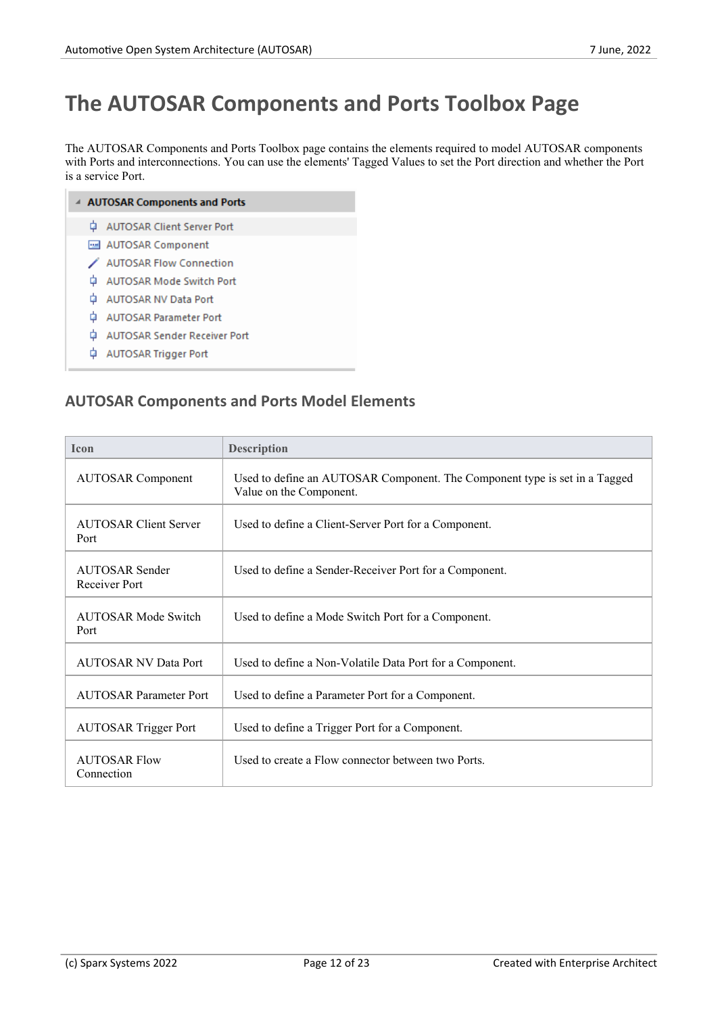### **The AUTOSAR Components and Ports Toolbox Page**

The AUTOSAR Components and Ports Toolbox page contains the elements required to model AUTOSAR components with Ports and interconnections. You can use the elements' Tagged Values to set the Port direction and whether the Port is a service Port.

| <b>4 AUTOSAR Components and Ports</b> |                                     |  |  |  |  |  |
|---------------------------------------|-------------------------------------|--|--|--|--|--|
|                                       | AUTOSAR Client Server Port          |  |  |  |  |  |
|                                       | MUTOSAR Component                   |  |  |  |  |  |
|                                       | <b>∕ AUTOSAR Flow Connection</b>    |  |  |  |  |  |
|                                       | Ò.<br>AUTOSAR Mode Switch Port      |  |  |  |  |  |
|                                       | Ò.<br>AUTOSAR NV Data Port          |  |  |  |  |  |
| 甴                                     | <b>AUTOSAR Parameter Port</b>       |  |  |  |  |  |
| Ġ                                     | <b>AUTOSAR Sender Receiver Port</b> |  |  |  |  |  |
| ٠                                     | AUTOSAR Trigger Port                |  |  |  |  |  |

### **AUTOSAR Components and Ports Model Elements**

| <b>Icon</b>                            | <b>Description</b>                                                                                    |
|----------------------------------------|-------------------------------------------------------------------------------------------------------|
| <b>AUTOSAR Component</b>               | Used to define an AUTOSAR Component. The Component type is set in a Tagged<br>Value on the Component. |
| <b>AUTOSAR Client Server</b><br>Port   | Used to define a Client-Server Port for a Component.                                                  |
| <b>AUTOSAR Sender</b><br>Receiver Port | Used to define a Sender-Receiver Port for a Component.                                                |
| <b>AUTOSAR Mode Switch</b><br>Port     | Used to define a Mode Switch Port for a Component.                                                    |
| <b>AUTOSAR NV Data Port</b>            | Used to define a Non-Volatile Data Port for a Component.                                              |
| <b>AUTOSAR Parameter Port</b>          | Used to define a Parameter Port for a Component.                                                      |
| <b>AUTOSAR Trigger Port</b>            | Used to define a Trigger Port for a Component.                                                        |
| <b>AUTOSAR Flow</b><br>Connection      | Used to create a Flow connector between two Ports.                                                    |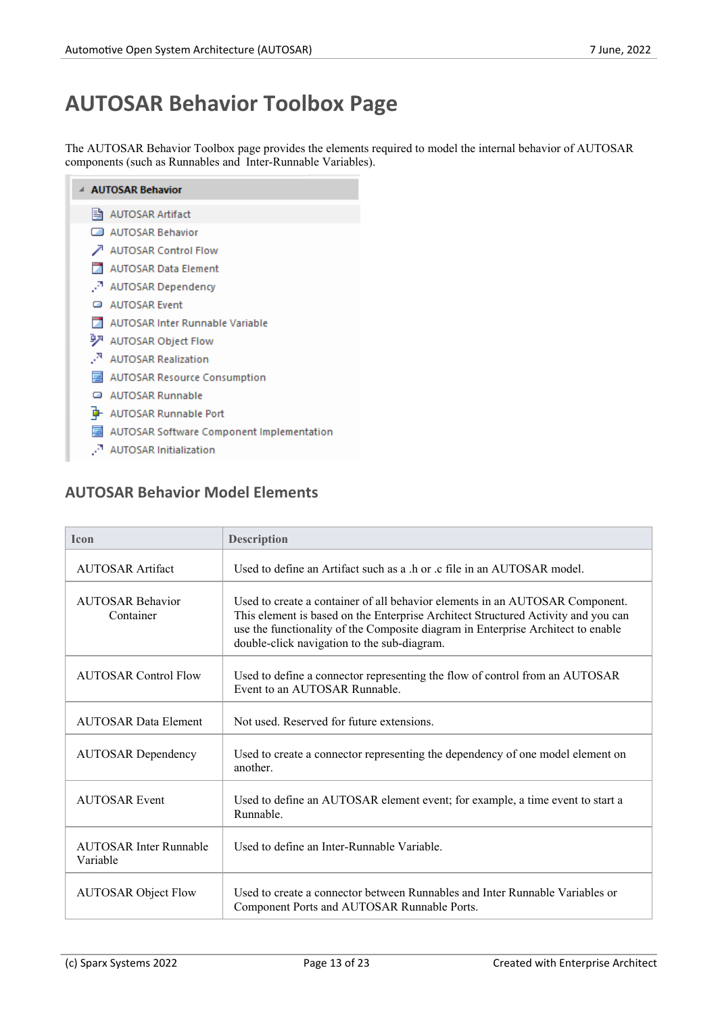# **AUTOSAR Behavior Toolbox Page**

The AUTOSAR Behavior Toolbox page provides the elements required to model the internal behavior of AUTOSAR components (such as Runnables and Inter-Runnable Variables).

| ▲ AUTOSAR Behavior                        |
|-------------------------------------------|
| ll AUTOSAR Artifact                       |
| AUTOSAR Behavior                          |
| AUTOSAR Control Flow                      |
| <b>AUTOSAR Data Element</b>               |
| . AUTOSAR Dependency                      |
| AUTOSAR Event                             |
| AUTOSAR Inter Runnable Variable           |
| 9 AUTOSAR Object Flow                     |
| <sup>N</sup> AUTOSAR Realization          |
| 图 AUTOSAR Resource Consumption            |
| AUTOSAR Runnable                          |
| <b>D</b> AUTOSAR Runnable Port            |
| AUTOSAR Software Component Implementation |
| AUTOSAR Initialization                    |

#### **AUTOSAR Behavior Model Elements**

| <b>Icon</b>                               | <b>Description</b>                                                                                                                                                                                                                                                                                   |
|-------------------------------------------|------------------------------------------------------------------------------------------------------------------------------------------------------------------------------------------------------------------------------------------------------------------------------------------------------|
| <b>AUTOSAR Artifact</b>                   | Used to define an Artifact such as a h or c file in an AUTOSAR model.                                                                                                                                                                                                                                |
| <b>AUTOSAR Behavior</b><br>Container      | Used to create a container of all behavior elements in an AUTOSAR Component.<br>This element is based on the Enterprise Architect Structured Activity and you can<br>use the functionality of the Composite diagram in Enterprise Architect to enable<br>double-click navigation to the sub-diagram. |
| <b>AUTOSAR Control Flow</b>               | Used to define a connector representing the flow of control from an AUTOSAR<br>Event to an AUTOSAR Runnable.                                                                                                                                                                                         |
| <b>AUTOSAR Data Element</b>               | Not used. Reserved for future extensions.                                                                                                                                                                                                                                                            |
| <b>AUTOSAR Dependency</b>                 | Used to create a connector representing the dependency of one model element on<br>another.                                                                                                                                                                                                           |
| <b>AUTOSAR Event</b>                      | Used to define an AUTOSAR element event; for example, a time event to start a<br>Runnable.                                                                                                                                                                                                           |
| <b>AUTOSAR Inter Runnable</b><br>Variable | Used to define an Inter-Runnable Variable.                                                                                                                                                                                                                                                           |
| <b>AUTOSAR Object Flow</b>                | Used to create a connector between Runnables and Inter Runnable Variables or<br>Component Ports and AUTOSAR Runnable Ports.                                                                                                                                                                          |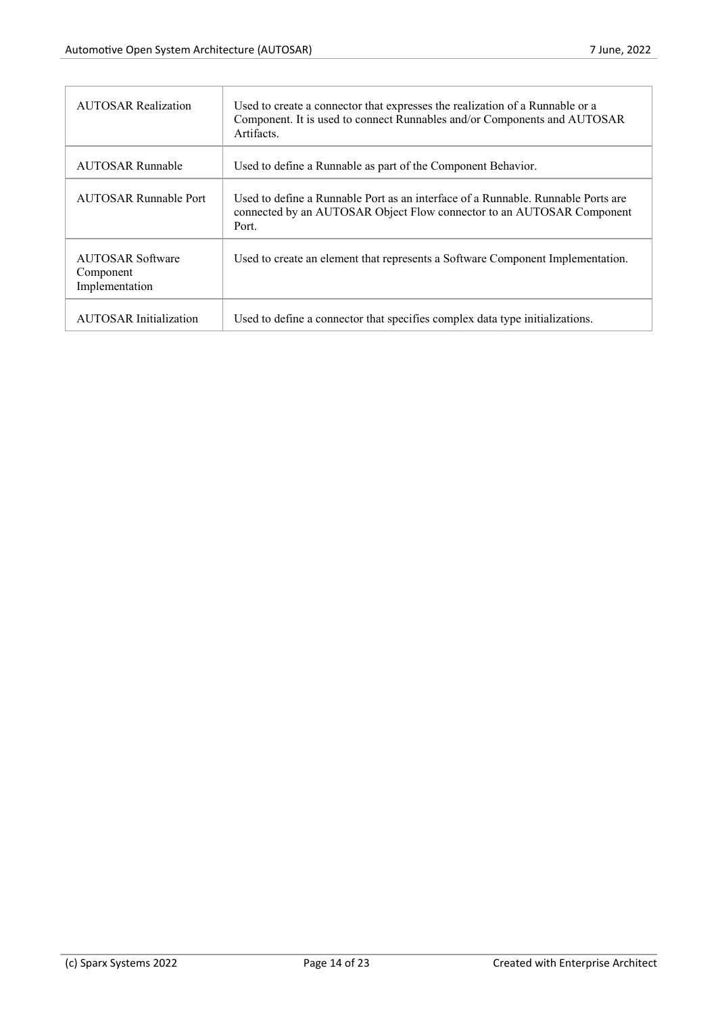| <b>AUTOSAR Realization</b>                             | Used to create a connector that expresses the realization of a Runnable or a<br>Component. It is used to connect Runnables and/or Components and AUTOSAR<br>Artifacts. |
|--------------------------------------------------------|------------------------------------------------------------------------------------------------------------------------------------------------------------------------|
| <b>AUTOSAR Runnable</b>                                | Used to define a Runnable as part of the Component Behavior.                                                                                                           |
| AUTOSAR Runnable Port                                  | Used to define a Runnable Port as an interface of a Runnable. Runnable Ports are<br>connected by an AUTOSAR Object Flow connector to an AUTOSAR Component<br>Port.     |
| <b>AUTOSAR Software</b><br>Component<br>Implementation | Used to create an element that represents a Software Component Implementation.                                                                                         |
| <b>AUTOSAR Initialization</b>                          | Used to define a connector that specifies complex data type initializations.                                                                                           |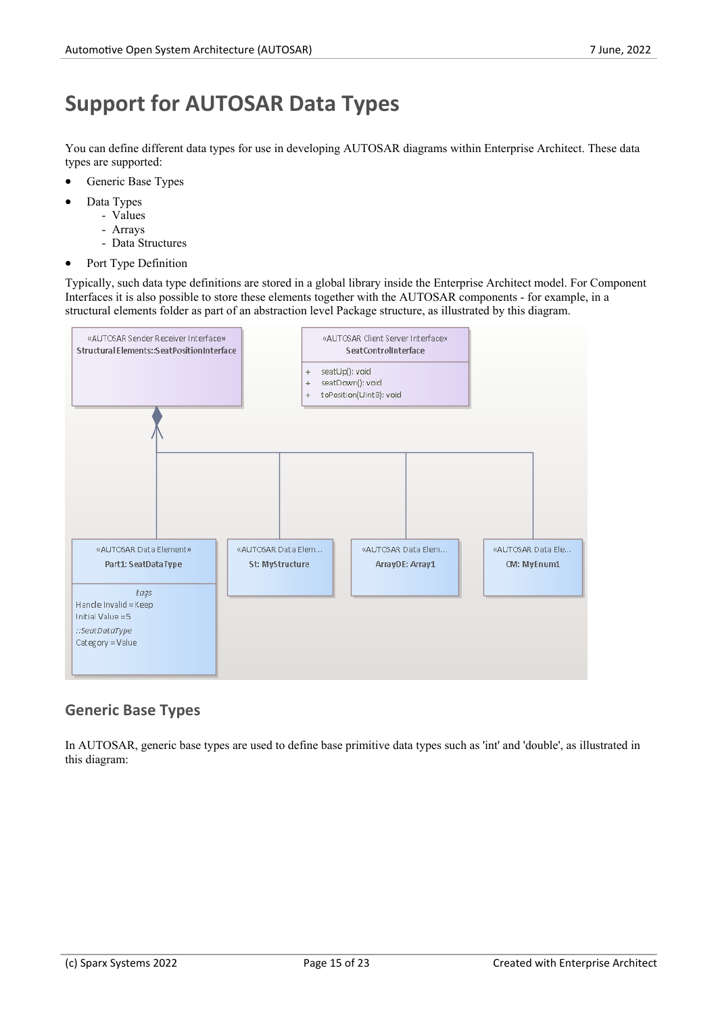## **Support for AUTOSAR Data Types**

You can define different data types for use in developing AUTOSAR diagrams within Enterprise Architect. These data types are supported:

- Generic Base Types
- Data Types
	- Values
	- Arrays
	- Data Structures
- Port Type Definition

Typically, such data type definitions are stored in a global library inside the Enterprise Architect model. For Component Interfaces it is also possible to store these elements together with the AUTOSAR components - for example, in a structural elements folder as part of an abstraction level Package structure, as illustrated by this diagram.



#### **Generic Base Types**

In AUTOSAR, generic base types are used to define base primitive data types such as 'int' and 'double', as illustrated in this diagram: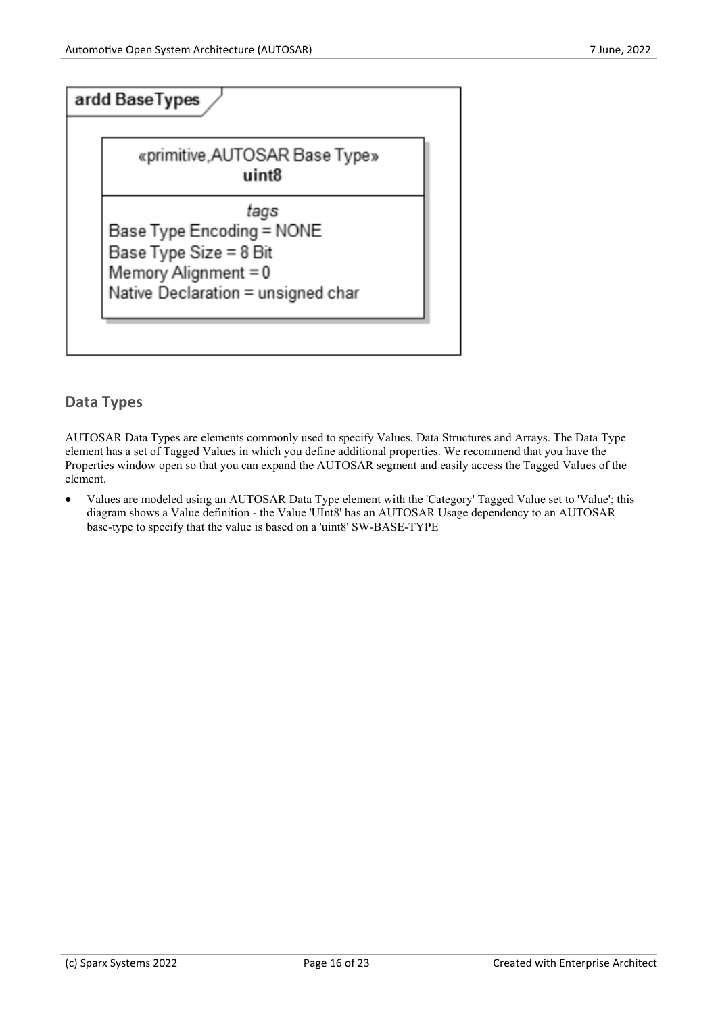

#### **Data Types**

AUTOSAR Data Types are elements commonly used to specify Values, Data Structures and Arrays. The Data Type element has a setof Tagged Values in which you define additional properties. We recommend that you have the Properties window open so that you can expand the AUTOSAR segment and easily access the Tagged Values ofthe element.

· Values are modeled using an AUTOSAR Data Type element with the 'Category' Tagged Value set to 'Value'; this diagram shows a Value definition - the Value 'UInt8' has an AUTOSAR Usage dependency to an AUTOSAR base-type to specify that the value is based on a 'uint8' SW-BASE-TYPE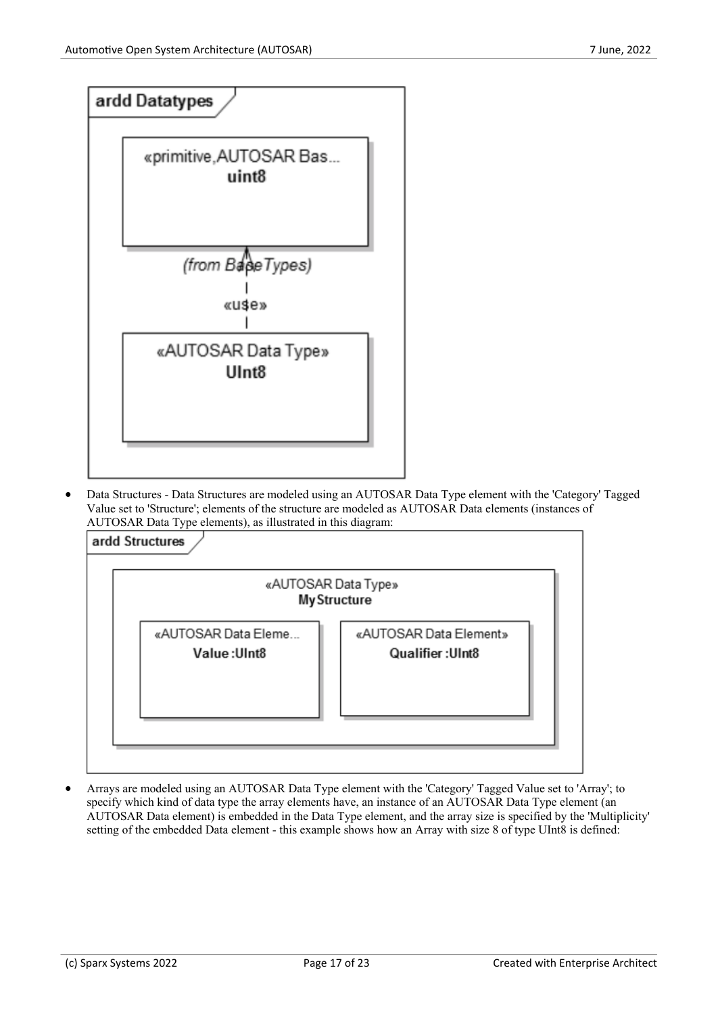

· Data Structures - Data Structures are modeled using an AUTOSAR Data Type element with the 'Category' Tagged Value set to 'Structure'; elements of the structure are modeled as AUTOSAR Data elements (instances of AUTOSAR Data Type elements), as illustrated in this diagram:



· Arrays are modeled using an AUTOSAR Data Type element with the 'Category' Tagged Value set to 'Array'; to specify which kind of data type the array elements have, an instance of an AUTOSAR Data Type element (an AUTOSAR Data element) is embedded in the Data Type element, and the array size is specified by the 'Multiplicity' setting of the embedded Data element - this example shows how an Array with size 8 of type UInt8 is defined: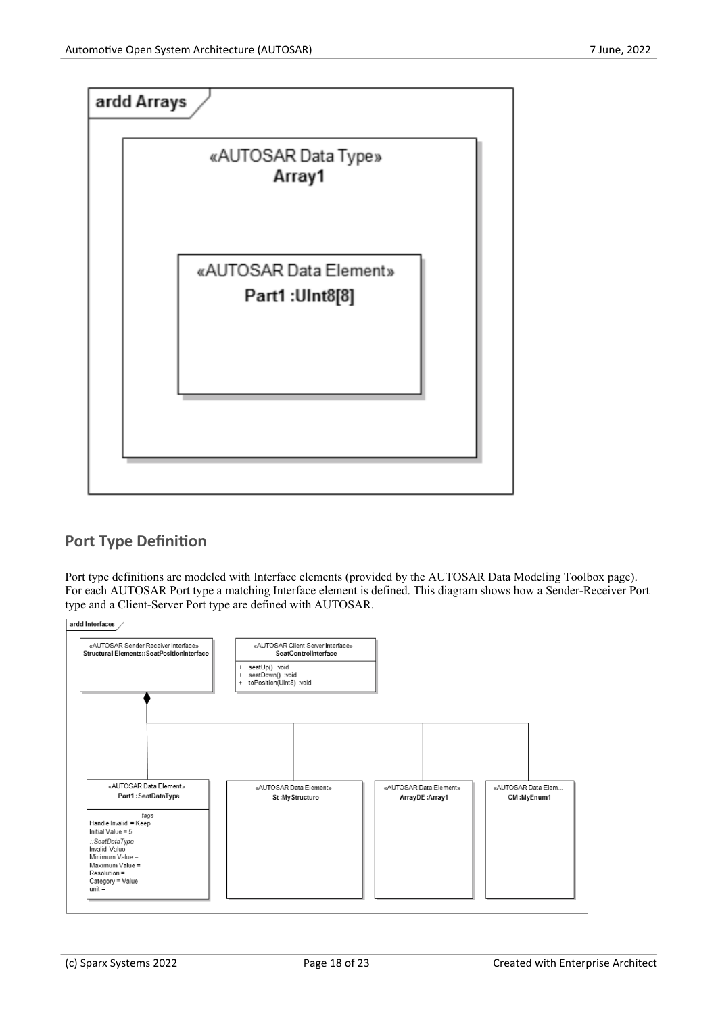

### **Port Type Definition**

Port type definitions are modeled with Interface elements (provided by the AUTOSAR Data Modeling Toolbox page). For each AUTOSAR Port type a matching Interface element is defined. This diagram shows how a Sender-Receiver Port type and a Client-Server Port type are defined with AUTOSAR.

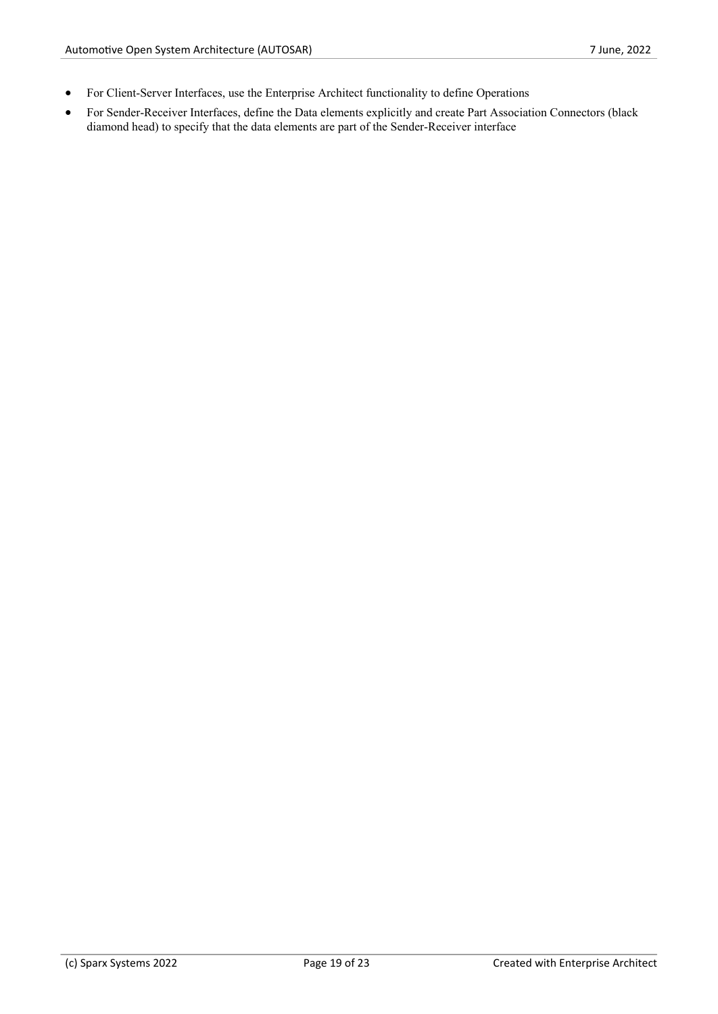- · For Client-Server Interfaces, use the Enterprise Architect functionality to define Operations
- · For Sender-Receiver Interfaces, define the Data elements explicitly and create Part Association Connectors (black diamond head) to specify that the data elements are part of the Sender-Receiver interface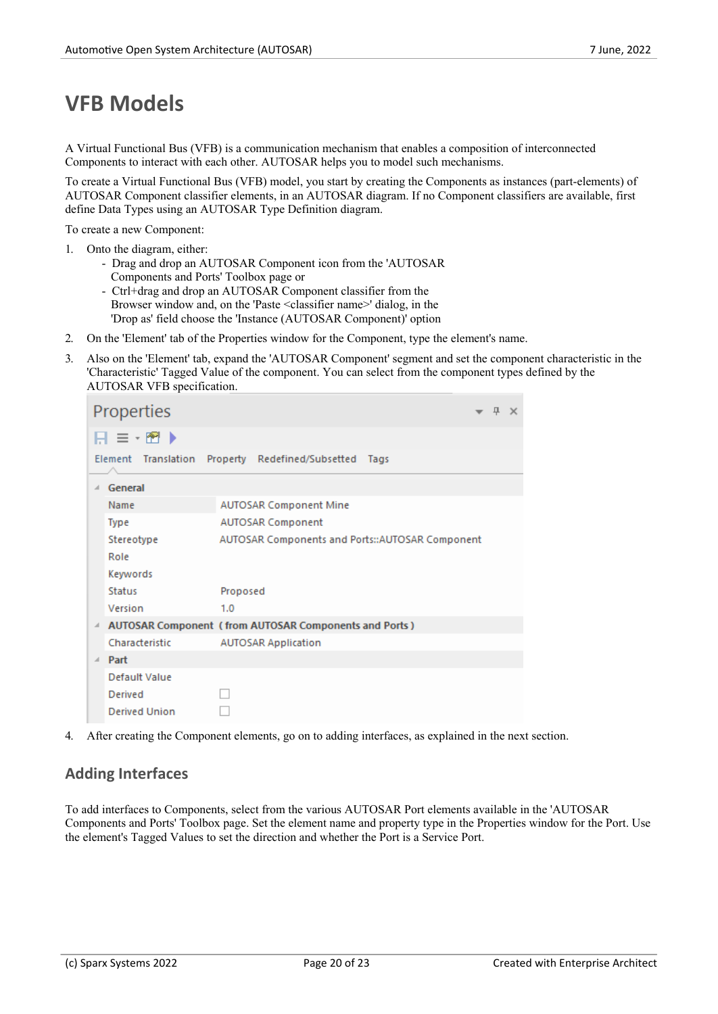### **VFB Models**

A Virtual Functional Bus (VFB) is a communication mechanism that enables a composition of interconnected Components to interact with each other. AUTOSAR helps you to model such mechanisms.

To create a Virtual Functional Bus (VFB) model, you start by creating the Components as instances (part-elements) of AUTOSAR Component classifier elements, in an AUTOSAR diagram. If no Component classifiers are available, first define Data Types using an AUTOSAR Type Definition diagram.

To create a new Component:

- 1. Onto the diagram, either:
	- Drag and drop an AUTOSAR Component icon from the 'AUTOSAR Components and Ports' Toolbox page or
	- Ctrl+drag and drop an AUTOSAR Component classifier from the Browser window and, on the 'Paste <classifier name>' dialog, in the 'Drop as' field choose the 'Instance (AUTOSAR Component)' option
- 
- 2. On the 'Element' tab of the Properties window for the Component, type the element's name.<br>3. Also on the 'Element' tab, expand the 'AUTOSAR Component' segment and set the component characteristic in the 'Characteristic' Tagged Value of the component. You can select from the component types defined by the AUTOSAR VFB specification.

|          | Properties<br>一旦<br>$\times$ |                                                       |  |  |  |  |
|----------|------------------------------|-------------------------------------------------------|--|--|--|--|
|          | $H \equiv -\bm{E}$           |                                                       |  |  |  |  |
|          |                              | Element Translation Property Redefined/Subsetted Tags |  |  |  |  |
|          | General                      |                                                       |  |  |  |  |
|          | Name                         | <b>AUTOSAR Component Mine</b>                         |  |  |  |  |
|          | <b>Type</b>                  | AUTOSAR Component                                     |  |  |  |  |
|          | Stereotype                   | AUTOSAR Components and Ports::AUTOSAR Component       |  |  |  |  |
|          | Role                         |                                                       |  |  |  |  |
|          | Keywords                     |                                                       |  |  |  |  |
|          | Status                       | Proposed                                              |  |  |  |  |
|          | Version                      | 1.0                                                   |  |  |  |  |
| ⊿        |                              | AUTOSAR Component (from AUTOSAR Components and Ports) |  |  |  |  |
|          | Characteristic               | <b>AUTOSAR Application</b>                            |  |  |  |  |
| $\Delta$ | Part                         |                                                       |  |  |  |  |
|          | Default Value                |                                                       |  |  |  |  |
|          | Derived                      |                                                       |  |  |  |  |
|          | <b>Derived Union</b>         |                                                       |  |  |  |  |

4. After creating the Component elements, go on to adding interfaces, as explained in the next section.

#### **Adding Interfaces**

To add interfaces to Components, select from the various AUTOSAR Port elements available in the 'AUTOSAR Components and Ports' Toolbox page. Set the element name and property type in the Properties window for the Port. Use the element's Tagged Values to set the direction and whether the Port is a Service Port.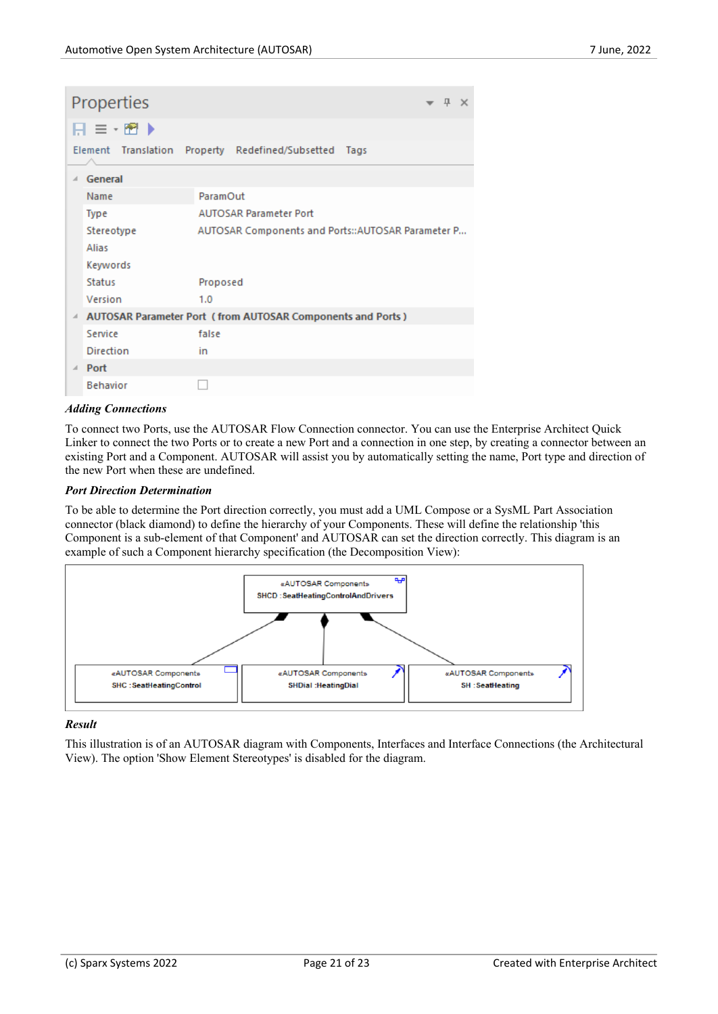|                                                       | Properties       |                                                            |  |  |  |  |
|-------------------------------------------------------|------------------|------------------------------------------------------------|--|--|--|--|
|                                                       | 日≡・習▶            |                                                            |  |  |  |  |
| Element Translation Property Redefined/Subsetted Tags |                  |                                                            |  |  |  |  |
|                                                       | General          |                                                            |  |  |  |  |
|                                                       | Name             | ParamOut                                                   |  |  |  |  |
|                                                       | Type             | <b>AUTOSAR Parameter Port</b>                              |  |  |  |  |
|                                                       | Stereotype       | AUTOSAR Components and Ports::AUTOSAR Parameter P          |  |  |  |  |
|                                                       | Alias            |                                                            |  |  |  |  |
|                                                       | Keywords         |                                                            |  |  |  |  |
|                                                       | Status           | Proposed                                                   |  |  |  |  |
|                                                       | Version          | 1.0                                                        |  |  |  |  |
|                                                       |                  | AUTOSAR Parameter Port (from AUTOSAR Components and Ports) |  |  |  |  |
|                                                       | Service          | false                                                      |  |  |  |  |
|                                                       | <b>Direction</b> | in                                                         |  |  |  |  |
|                                                       | Port             |                                                            |  |  |  |  |
|                                                       | <b>Behavior</b>  |                                                            |  |  |  |  |

#### *Adding Connections*

To connect two Ports, use the AUTOSAR Flow Connection connector. You can use the Enterprise Architect Quick Linker to connect the two Ports or to create a new Port and a connection in one step, by creating a connector between an existing Port and a Component. AUTOSAR will assist you by automatically setting the name, Port type and direction of the new Port when these are undefined.

#### *Port Direction Determination*

To be able to determine the Port direction correctly, you must add a UML Compose or a SysML Part Association connector (black diamond) to define the hierarchy of your Components. These will define the relationship 'this Component is a sub-element of that Component' and AUTOSAR can set the direction correctly. This diagram is an example of such a Component hierarchy specification (the Decomposition View):



#### *Result*

This illustration is ofan AUTOSAR diagram with Components, Interfaces and Interface Connections (the Architectural View). The option 'Show Element Stereotypes' is disabled for the diagram.